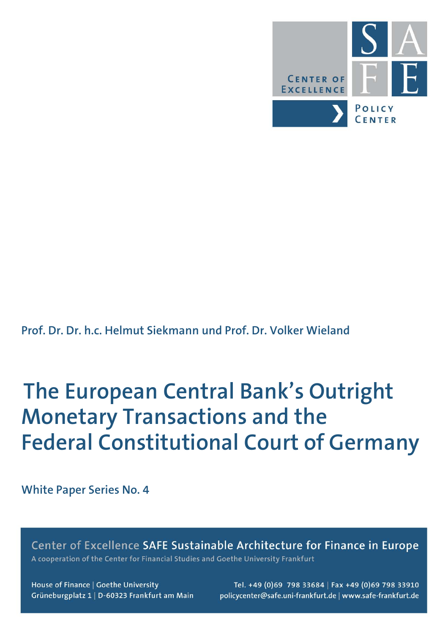

**Prof. Dr. Dr. h.c. Helmut Siekmann und Prof. Dr. Volker Wieland**

# **The European Central Bank's Outright Monetary Transactions and the Federal Constitutional Court of Germany**

**White Paper Series No. 4**

Center of Excellence SAFE Sustainable Architecture for Finance in Europe A cooperation of the Center for Financial Studies and Goethe University Frankfurt

House of Finance | Goethe University Grüneburgplatz 1 | D-60323 Frankfurt am Main

Tel. +49 (0)69 798 33684 | Fax +49 (0)69 798 33910 policycenter@safe.uni-frankfurt.de | www.safe-frankfurt.de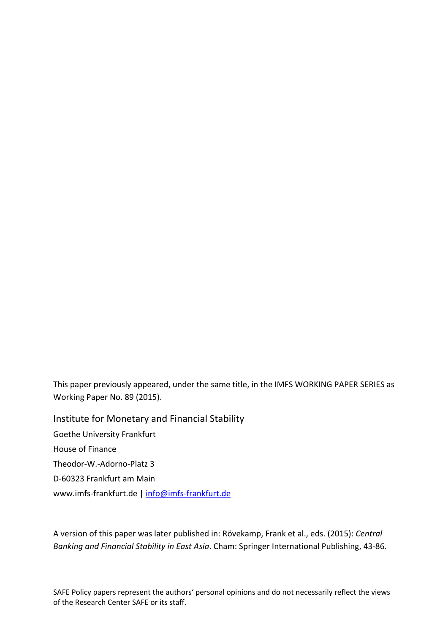This paper previously appeared, under the same title, in the IMFS WORKING PAPER SERIES as Working Paper No. 89 (2015).

Institute for Monetary and Financial Stability Goethe University Frankfurt House of Finance Theodor‐W.‐Adorno‐Platz 3 D‐60323 Frankfurt am Main www.imfs-frankfurt.de | info@imfs-frankfurt.de

A version of this paper was later published in: Rövekamp, Frank et al., eds. (2015): *Central Banking and Financial Stability in East Asia*. Cham: Springer International Publishing, 43‐86.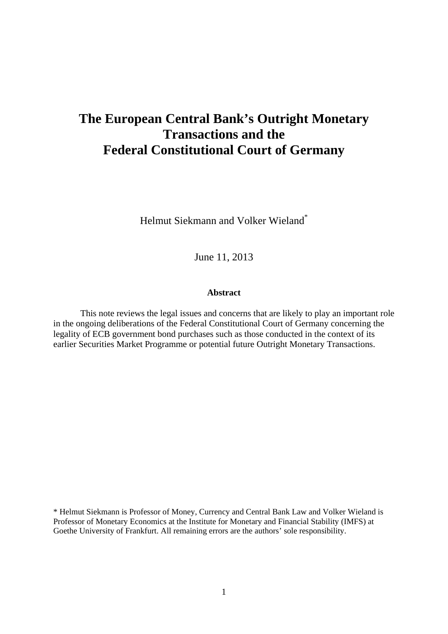# **The European Central Bank's Outright Monetary Transactions and the Federal Constitutional Court of Germany**

Helmut Siekmann and Volker Wieland\*

June 11, 2013

## **Abstract**

This note reviews the legal issues and concerns that are likely to play an important role in the ongoing deliberations of the Federal Constitutional Court of Germany concerning the legality of ECB government bond purchases such as those conducted in the context of its earlier Securities Market Programme or potential future Outright Monetary Transactions.

\* Helmut Siekmann is Professor of Money, Currency and Central Bank Law and Volker Wieland is Professor of Monetary Economics at the Institute for Monetary and Financial Stability (IMFS) at Goethe University of Frankfurt. All remaining errors are the authors' sole responsibility.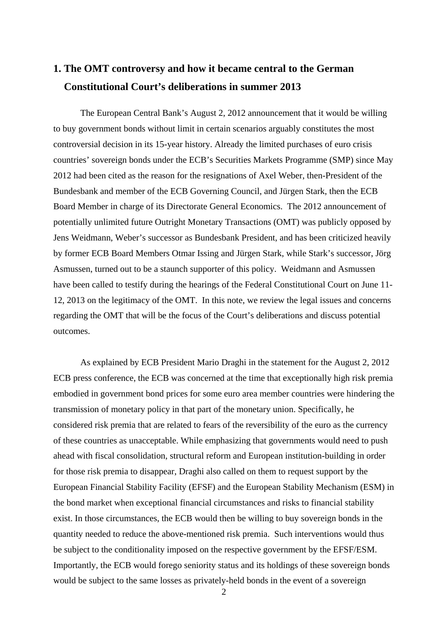## **1. The OMT controversy and how it became central to the German Constitutional Court's deliberations in summer 2013**

The European Central Bank's August 2, 2012 announcement that it would be willing to buy government bonds without limit in certain scenarios arguably constitutes the most controversial decision in its 15-year history. Already the limited purchases of euro crisis countries' sovereign bonds under the ECB's Securities Markets Programme (SMP) since May 2012 had been cited as the reason for the resignations of Axel Weber, then-President of the Bundesbank and member of the ECB Governing Council, and Jürgen Stark, then the ECB Board Member in charge of its Directorate General Economics. The 2012 announcement of potentially unlimited future Outright Monetary Transactions (OMT) was publicly opposed by Jens Weidmann, Weber's successor as Bundesbank President, and has been criticized heavily by former ECB Board Members Otmar Issing and Jürgen Stark, while Stark's successor, Jörg Asmussen, turned out to be a staunch supporter of this policy. Weidmann and Asmussen have been called to testify during the hearings of the Federal Constitutional Court on June 11- 12, 2013 on the legitimacy of the OMT. In this note, we review the legal issues and concerns regarding the OMT that will be the focus of the Court's deliberations and discuss potential outcomes.

As explained by ECB President Mario Draghi in the statement for the August 2, 2012 ECB press conference, the ECB was concerned at the time that exceptionally high risk premia embodied in government bond prices for some euro area member countries were hindering the transmission of monetary policy in that part of the monetary union. Specifically, he considered risk premia that are related to fears of the reversibility of the euro as the currency of these countries as unacceptable. While emphasizing that governments would need to push ahead with fiscal consolidation, structural reform and European institution-building in order for those risk premia to disappear, Draghi also called on them to request support by the European Financial Stability Facility (EFSF) and the European Stability Mechanism (ESM) in the bond market when exceptional financial circumstances and risks to financial stability exist. In those circumstances, the ECB would then be willing to buy sovereign bonds in the quantity needed to reduce the above-mentioned risk premia. Such interventions would thus be subject to the conditionality imposed on the respective government by the EFSF/ESM. Importantly, the ECB would forego seniority status and its holdings of these sovereign bonds would be subject to the same losses as privately-held bonds in the event of a sovereign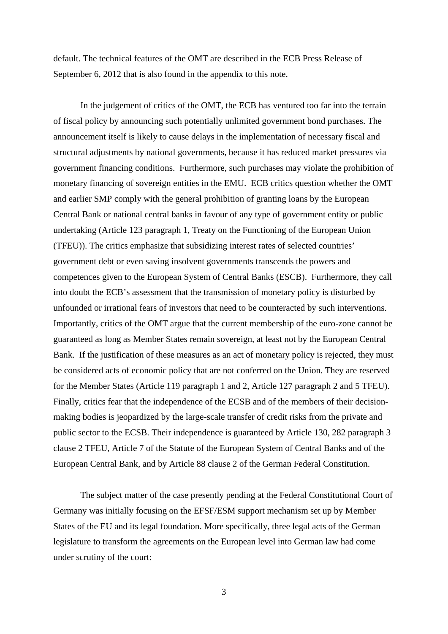default. The technical features of the OMT are described in the ECB Press Release of September 6, 2012 that is also found in the appendix to this note.

In the judgement of critics of the OMT, the ECB has ventured too far into the terrain of fiscal policy by announcing such potentially unlimited government bond purchases. The announcement itself is likely to cause delays in the implementation of necessary fiscal and structural adjustments by national governments, because it has reduced market pressures via government financing conditions. Furthermore, such purchases may violate the prohibition of monetary financing of sovereign entities in the EMU. ECB critics question whether the OMT and earlier SMP comply with the general prohibition of granting loans by the European Central Bank or national central banks in favour of any type of government entity or public undertaking (Article 123 paragraph 1, Treaty on the Functioning of the European Union (TFEU)). The critics emphasize that subsidizing interest rates of selected countries' government debt or even saving insolvent governments transcends the powers and competences given to the European System of Central Banks (ESCB). Furthermore, they call into doubt the ECB's assessment that the transmission of monetary policy is disturbed by unfounded or irrational fears of investors that need to be counteracted by such interventions. Importantly, critics of the OMT argue that the current membership of the euro-zone cannot be guaranteed as long as Member States remain sovereign, at least not by the European Central Bank. If the justification of these measures as an act of monetary policy is rejected, they must be considered acts of economic policy that are not conferred on the Union. They are reserved for the Member States (Article 119 paragraph 1 and 2, Article 127 paragraph 2 and 5 TFEU). Finally, critics fear that the independence of the ECSB and of the members of their decisionmaking bodies is jeopardized by the large-scale transfer of credit risks from the private and public sector to the ECSB. Their independence is guaranteed by Article 130, 282 paragraph 3 clause 2 TFEU, Article 7 of the Statute of the European System of Central Banks and of the European Central Bank, and by Article 88 clause 2 of the German Federal Constitution.

The subject matter of the case presently pending at the Federal Constitutional Court of Germany was initially focusing on the EFSF/ESM support mechanism set up by Member States of the EU and its legal foundation. More specifically, three legal acts of the German legislature to transform the agreements on the European level into German law had come under scrutiny of the court: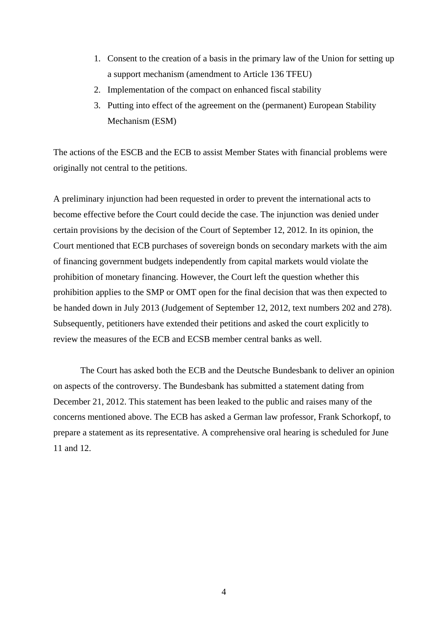- 1. Consent to the creation of a basis in the primary law of the Union for setting up a support mechanism (amendment to Article 136 TFEU)
- 2. Implementation of the compact on enhanced fiscal stability
- 3. Putting into effect of the agreement on the (permanent) European Stability Mechanism (ESM)

The actions of the ESCB and the ECB to assist Member States with financial problems were originally not central to the petitions.

A preliminary injunction had been requested in order to prevent the international acts to become effective before the Court could decide the case. The injunction was denied under certain provisions by the decision of the Court of September 12, 2012. In its opinion, the Court mentioned that ECB purchases of sovereign bonds on secondary markets with the aim of financing government budgets independently from capital markets would violate the prohibition of monetary financing. However, the Court left the question whether this prohibition applies to the SMP or OMT open for the final decision that was then expected to be handed down in July 2013 (Judgement of September 12, 2012, text numbers 202 and 278). Subsequently, petitioners have extended their petitions and asked the court explicitly to review the measures of the ECB and ECSB member central banks as well.

The Court has asked both the ECB and the Deutsche Bundesbank to deliver an opinion on aspects of the controversy. The Bundesbank has submitted a statement dating from December 21, 2012. This statement has been leaked to the public and raises many of the concerns mentioned above. The ECB has asked a German law professor, Frank Schorkopf, to prepare a statement as its representative. A comprehensive oral hearing is scheduled for June 11 and 12.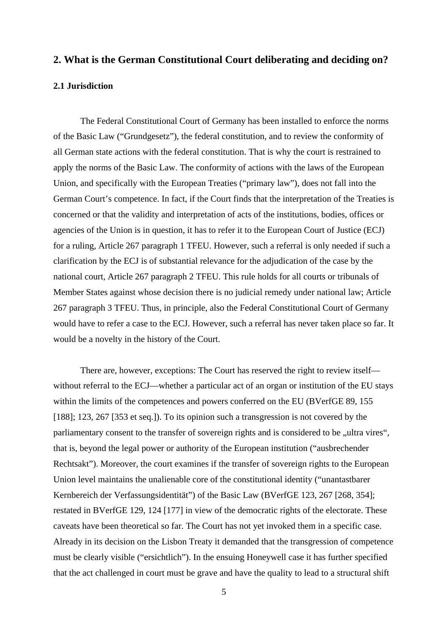## **2. What is the German Constitutional Court deliberating and deciding on?**

#### **2.1 Jurisdiction**

The Federal Constitutional Court of Germany has been installed to enforce the norms of the Basic Law ("Grundgesetz"), the federal constitution, and to review the conformity of all German state actions with the federal constitution. That is why the court is restrained to apply the norms of the Basic Law. The conformity of actions with the laws of the European Union, and specifically with the European Treaties ("primary law"), does not fall into the German Court's competence. In fact, if the Court finds that the interpretation of the Treaties is concerned or that the validity and interpretation of acts of the institutions, bodies, offices or agencies of the Union is in question, it has to refer it to the European Court of Justice (ECJ) for a ruling, Article 267 paragraph 1 TFEU. However, such a referral is only needed if such a clarification by the ECJ is of substantial relevance for the adjudication of the case by the national court, Article 267 paragraph 2 TFEU. This rule holds for all courts or tribunals of Member States against whose decision there is no judicial remedy under national law; Article 267 paragraph 3 TFEU. Thus, in principle, also the Federal Constitutional Court of Germany would have to refer a case to the ECJ. However, such a referral has never taken place so far. It would be a novelty in the history of the Court.

There are, however, exceptions: The Court has reserved the right to review itself without referral to the ECJ—whether a particular act of an organ or institution of the EU stays within the limits of the competences and powers conferred on the EU (BVerfGE 89, 155 [188]; 123, 267 [353 et seq.]). To its opinion such a transgression is not covered by the parliamentary consent to the transfer of sovereign rights and is considered to be "ultra vires", that is, beyond the legal power or authority of the European institution ("ausbrechender Rechtsakt"). Moreover, the court examines if the transfer of sovereign rights to the European Union level maintains the unalienable core of the constitutional identity ("unantastbarer Kernbereich der Verfassungsidentität") of the Basic Law (BVerfGE 123, 267 [268, 354]; restated in BVerfGE 129, 124 [177] in view of the democratic rights of the electorate. These caveats have been theoretical so far. The Court has not yet invoked them in a specific case. Already in its decision on the Lisbon Treaty it demanded that the transgression of competence must be clearly visible ("ersichtlich"). In the ensuing Honeywell case it has further specified that the act challenged in court must be grave and have the quality to lead to a structural shift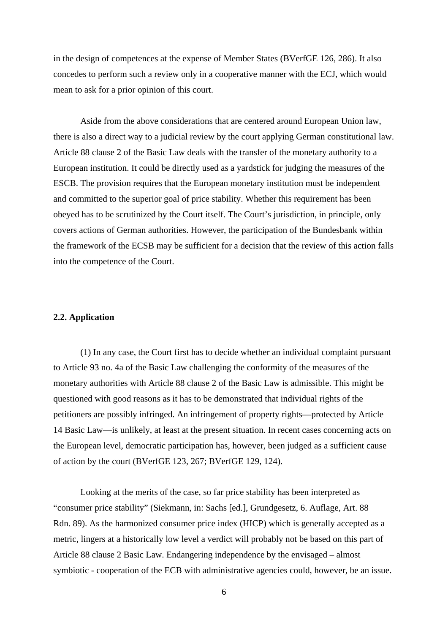in the design of competences at the expense of Member States (BVerfGE 126, 286). It also concedes to perform such a review only in a cooperative manner with the ECJ, which would mean to ask for a prior opinion of this court.

Aside from the above considerations that are centered around European Union law, there is also a direct way to a judicial review by the court applying German constitutional law. Article 88 clause 2 of the Basic Law deals with the transfer of the monetary authority to a European institution. It could be directly used as a yardstick for judging the measures of the ESCB. The provision requires that the European monetary institution must be independent and committed to the superior goal of price stability. Whether this requirement has been obeyed has to be scrutinized by the Court itself. The Court's jurisdiction, in principle, only covers actions of German authorities. However, the participation of the Bundesbank within the framework of the ECSB may be sufficient for a decision that the review of this action falls into the competence of the Court.

#### **2.2. Application**

(1) In any case, the Court first has to decide whether an individual complaint pursuant to Article 93 no. 4a of the Basic Law challenging the conformity of the measures of the monetary authorities with Article 88 clause 2 of the Basic Law is admissible. This might be questioned with good reasons as it has to be demonstrated that individual rights of the petitioners are possibly infringed. An infringement of property rights—protected by Article 14 Basic Law—is unlikely, at least at the present situation. In recent cases concerning acts on the European level, democratic participation has, however, been judged as a sufficient cause of action by the court (BVerfGE 123, 267; BVerfGE 129, 124).

Looking at the merits of the case, so far price stability has been interpreted as "consumer price stability" (Siekmann, in: Sachs [ed.], Grundgesetz, 6. Auflage, Art. 88 Rdn. 89). As the harmonized consumer price index (HICP) which is generally accepted as a metric, lingers at a historically low level a verdict will probably not be based on this part of Article 88 clause 2 Basic Law. Endangering independence by the envisaged – almost symbiotic - cooperation of the ECB with administrative agencies could, however, be an issue.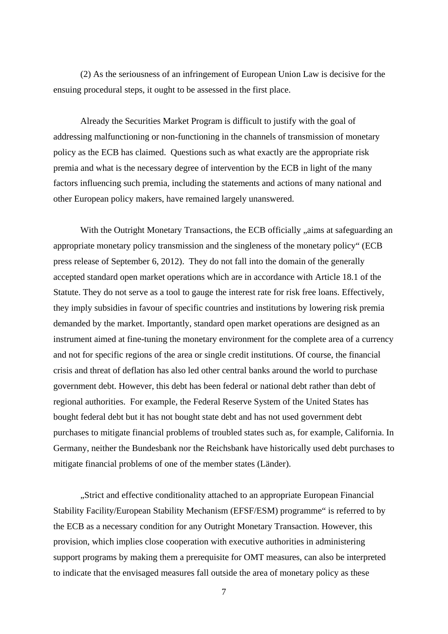(2) As the seriousness of an infringement of European Union Law is decisive for the ensuing procedural steps, it ought to be assessed in the first place.

Already the Securities Market Program is difficult to justify with the goal of addressing malfunctioning or non-functioning in the channels of transmission of monetary policy as the ECB has claimed. Questions such as what exactly are the appropriate risk premia and what is the necessary degree of intervention by the ECB in light of the many factors influencing such premia, including the statements and actions of many national and other European policy makers, have remained largely unanswered.

With the Outright Monetary Transactions, the ECB officially "aims at safeguarding an appropriate monetary policy transmission and the singleness of the monetary policy" (ECB press release of September 6, 2012). They do not fall into the domain of the generally accepted standard open market operations which are in accordance with Article 18.1 of the Statute. They do not serve as a tool to gauge the interest rate for risk free loans. Effectively, they imply subsidies in favour of specific countries and institutions by lowering risk premia demanded by the market. Importantly, standard open market operations are designed as an instrument aimed at fine-tuning the monetary environment for the complete area of a currency and not for specific regions of the area or single credit institutions. Of course, the financial crisis and threat of deflation has also led other central banks around the world to purchase government debt. However, this debt has been federal or national debt rather than debt of regional authorities. For example, the Federal Reserve System of the United States has bought federal debt but it has not bought state debt and has not used government debt purchases to mitigate financial problems of troubled states such as, for example, California. In Germany, neither the Bundesbank nor the Reichsbank have historically used debt purchases to mitigate financial problems of one of the member states (Länder).

"Strict and effective conditionality attached to an appropriate European Financial Stability Facility/European Stability Mechanism (EFSF/ESM) programme" is referred to by the ECB as a necessary condition for any Outright Monetary Transaction. However, this provision, which implies close cooperation with executive authorities in administering support programs by making them a prerequisite for OMT measures, can also be interpreted to indicate that the envisaged measures fall outside the area of monetary policy as these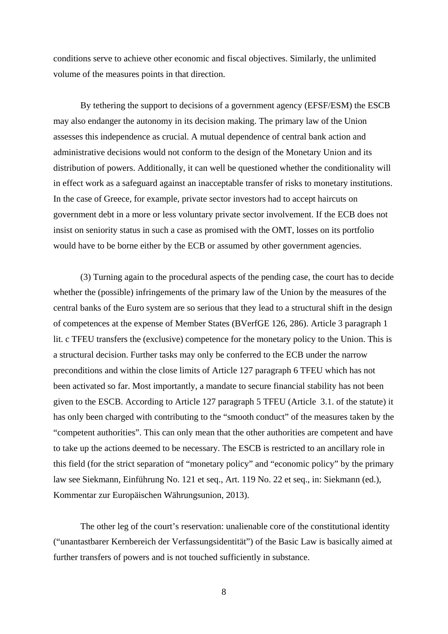conditions serve to achieve other economic and fiscal objectives. Similarly, the unlimited volume of the measures points in that direction.

By tethering the support to decisions of a government agency (EFSF/ESM) the ESCB may also endanger the autonomy in its decision making. The primary law of the Union assesses this independence as crucial. A mutual dependence of central bank action and administrative decisions would not conform to the design of the Monetary Union and its distribution of powers. Additionally, it can well be questioned whether the conditionality will in effect work as a safeguard against an inacceptable transfer of risks to monetary institutions. In the case of Greece, for example, private sector investors had to accept haircuts on government debt in a more or less voluntary private sector involvement. If the ECB does not insist on seniority status in such a case as promised with the OMT, losses on its portfolio would have to be borne either by the ECB or assumed by other government agencies.

(3) Turning again to the procedural aspects of the pending case, the court has to decide whether the (possible) infringements of the primary law of the Union by the measures of the central banks of the Euro system are so serious that they lead to a structural shift in the design of competences at the expense of Member States (BVerfGE 126, 286). Article 3 paragraph 1 lit. c TFEU transfers the (exclusive) competence for the monetary policy to the Union. This is a structural decision. Further tasks may only be conferred to the ECB under the narrow preconditions and within the close limits of Article 127 paragraph 6 TFEU which has not been activated so far. Most importantly, a mandate to secure financial stability has not been given to the ESCB. According to Article 127 paragraph 5 TFEU (Article 3.1. of the statute) it has only been charged with contributing to the "smooth conduct" of the measures taken by the "competent authorities". This can only mean that the other authorities are competent and have to take up the actions deemed to be necessary. The ESCB is restricted to an ancillary role in this field (for the strict separation of "monetary policy" and "economic policy" by the primary law see Siekmann, Einführung No. 121 et seq., Art. 119 No. 22 et seq., in: Siekmann (ed.), Kommentar zur Europäischen Währungsunion, 2013).

The other leg of the court's reservation: unalienable core of the constitutional identity ("unantastbarer Kernbereich der Verfassungsidentität") of the Basic Law is basically aimed at further transfers of powers and is not touched sufficiently in substance.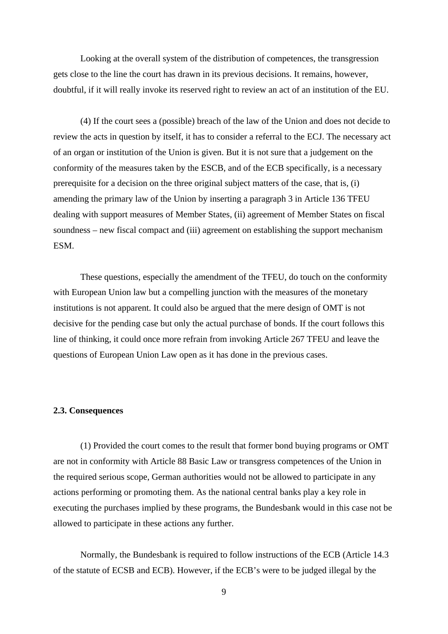Looking at the overall system of the distribution of competences, the transgression gets close to the line the court has drawn in its previous decisions. It remains, however, doubtful, if it will really invoke its reserved right to review an act of an institution of the EU.

(4) If the court sees a (possible) breach of the law of the Union and does not decide to review the acts in question by itself, it has to consider a referral to the ECJ. The necessary act of an organ or institution of the Union is given. But it is not sure that a judgement on the conformity of the measures taken by the ESCB, and of the ECB specifically, is a necessary prerequisite for a decision on the three original subject matters of the case, that is, (i) amending the primary law of the Union by inserting a paragraph 3 in Article 136 TFEU dealing with support measures of Member States, (ii) agreement of Member States on fiscal soundness – new fiscal compact and (iii) agreement on establishing the support mechanism ESM.

These questions, especially the amendment of the TFEU, do touch on the conformity with European Union law but a compelling junction with the measures of the monetary institutions is not apparent. It could also be argued that the mere design of OMT is not decisive for the pending case but only the actual purchase of bonds. If the court follows this line of thinking, it could once more refrain from invoking Article 267 TFEU and leave the questions of European Union Law open as it has done in the previous cases.

#### **2.3. Consequences**

(1) Provided the court comes to the result that former bond buying programs or OMT are not in conformity with Article 88 Basic Law or transgress competences of the Union in the required serious scope, German authorities would not be allowed to participate in any actions performing or promoting them. As the national central banks play a key role in executing the purchases implied by these programs, the Bundesbank would in this case not be allowed to participate in these actions any further.

Normally, the Bundesbank is required to follow instructions of the ECB (Article 14.3 of the statute of ECSB and ECB). However, if the ECB's were to be judged illegal by the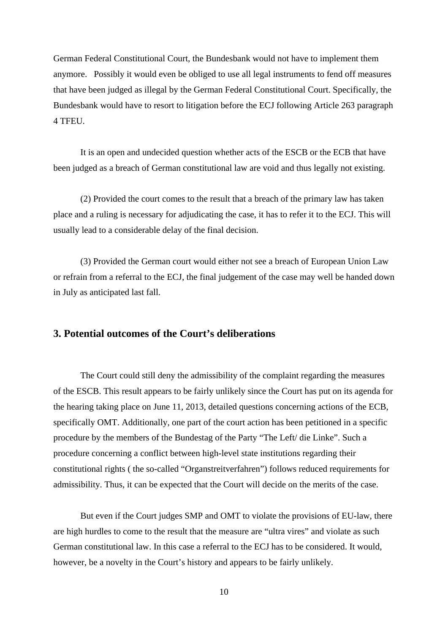German Federal Constitutional Court, the Bundesbank would not have to implement them anymore. Possibly it would even be obliged to use all legal instruments to fend off measures that have been judged as illegal by the German Federal Constitutional Court. Specifically, the Bundesbank would have to resort to litigation before the ECJ following Article 263 paragraph 4 TFEU.

It is an open and undecided question whether acts of the ESCB or the ECB that have been judged as a breach of German constitutional law are void and thus legally not existing.

(2) Provided the court comes to the result that a breach of the primary law has taken place and a ruling is necessary for adjudicating the case, it has to refer it to the ECJ. This will usually lead to a considerable delay of the final decision.

(3) Provided the German court would either not see a breach of European Union Law or refrain from a referral to the ECJ, the final judgement of the case may well be handed down in July as anticipated last fall.

## **3. Potential outcomes of the Court's deliberations**

The Court could still deny the admissibility of the complaint regarding the measures of the ESCB. This result appears to be fairly unlikely since the Court has put on its agenda for the hearing taking place on June 11, 2013, detailed questions concerning actions of the ECB, specifically OMT. Additionally, one part of the court action has been petitioned in a specific procedure by the members of the Bundestag of the Party "The Left/ die Linke". Such a procedure concerning a conflict between high-level state institutions regarding their constitutional rights ( the so-called "Organstreitverfahren") follows reduced requirements for admissibility. Thus, it can be expected that the Court will decide on the merits of the case.

But even if the Court judges SMP and OMT to violate the provisions of EU-law, there are high hurdles to come to the result that the measure are "ultra vires" and violate as such German constitutional law. In this case a referral to the ECJ has to be considered. It would, however, be a novelty in the Court's history and appears to be fairly unlikely.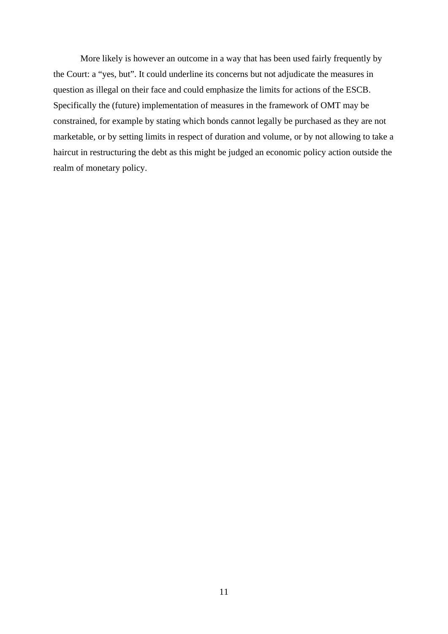More likely is however an outcome in a way that has been used fairly frequently by the Court: a "yes, but". It could underline its concerns but not adjudicate the measures in question as illegal on their face and could emphasize the limits for actions of the ESCB. Specifically the (future) implementation of measures in the framework of OMT may be constrained, for example by stating which bonds cannot legally be purchased as they are not marketable, or by setting limits in respect of duration and volume, or by not allowing to take a haircut in restructuring the debt as this might be judged an economic policy action outside the realm of monetary policy.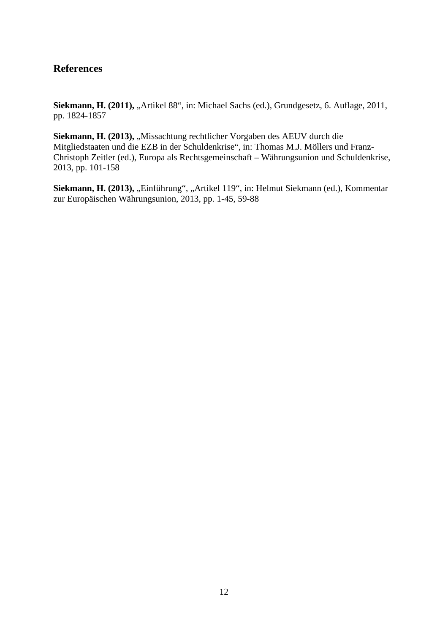## **References**

Siekmann, H. (2011), "Artikel 88", in: Michael Sachs (ed.), Grundgesetz, 6. Auflage, 2011, pp. 1824-1857

Siekmann, H. (2013), "Missachtung rechtlicher Vorgaben des AEUV durch die Mitgliedstaaten und die EZB in der Schuldenkrise", in: Thomas M.J. Möllers und Franz-Christoph Zeitler (ed.), Europa als Rechtsgemeinschaft – Währungsunion und Schuldenkrise, 2013, pp. 101-158

Siekmann, H. (2013), "Einführung", "Artikel 119", in: Helmut Siekmann (ed.), Kommentar zur Europäischen Währungsunion, 2013, pp. 1-45, 59-88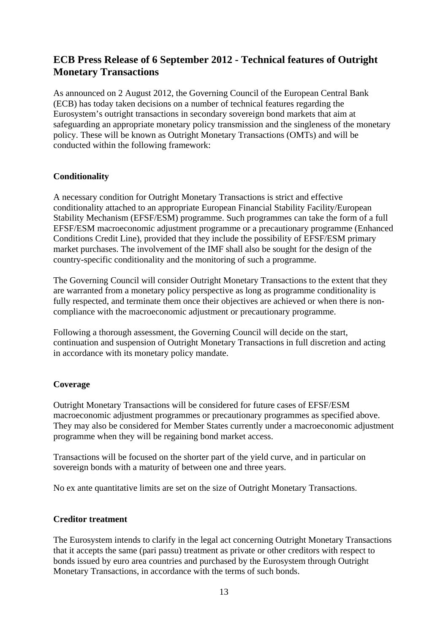## **ECB Press Release of 6 September 2012 - Technical features of Outright Monetary Transactions**

As announced on 2 August 2012, the Governing Council of the European Central Bank (ECB) has today taken decisions on a number of technical features regarding the Eurosystem's outright transactions in secondary sovereign bond markets that aim at safeguarding an appropriate monetary policy transmission and the singleness of the monetary policy. These will be known as Outright Monetary Transactions (OMTs) and will be conducted within the following framework:

## **Conditionality**

A necessary condition for Outright Monetary Transactions is strict and effective conditionality attached to an appropriate European Financial Stability Facility/European Stability Mechanism (EFSF/ESM) programme. Such programmes can take the form of a full EFSF/ESM macroeconomic adjustment programme or a precautionary programme (Enhanced Conditions Credit Line), provided that they include the possibility of EFSF/ESM primary market purchases. The involvement of the IMF shall also be sought for the design of the country-specific conditionality and the monitoring of such a programme.

The Governing Council will consider Outright Monetary Transactions to the extent that they are warranted from a monetary policy perspective as long as programme conditionality is fully respected, and terminate them once their objectives are achieved or when there is noncompliance with the macroeconomic adjustment or precautionary programme.

Following a thorough assessment, the Governing Council will decide on the start, continuation and suspension of Outright Monetary Transactions in full discretion and acting in accordance with its monetary policy mandate.

## **Coverage**

Outright Monetary Transactions will be considered for future cases of EFSF/ESM macroeconomic adjustment programmes or precautionary programmes as specified above. They may also be considered for Member States currently under a macroeconomic adjustment programme when they will be regaining bond market access.

Transactions will be focused on the shorter part of the yield curve, and in particular on sovereign bonds with a maturity of between one and three years.

No ex ante quantitative limits are set on the size of Outright Monetary Transactions.

## **Creditor treatment**

The Eurosystem intends to clarify in the legal act concerning Outright Monetary Transactions that it accepts the same (pari passu) treatment as private or other creditors with respect to bonds issued by euro area countries and purchased by the Eurosystem through Outright Monetary Transactions, in accordance with the terms of such bonds.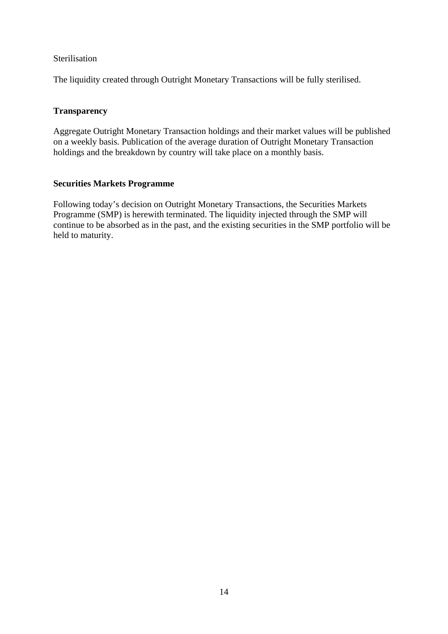## Sterilisation

The liquidity created through Outright Monetary Transactions will be fully sterilised.

## **Transparency**

Aggregate Outright Monetary Transaction holdings and their market values will be published on a weekly basis. Publication of the average duration of Outright Monetary Transaction holdings and the breakdown by country will take place on a monthly basis.

## **Securities Markets Programme**

Following today's decision on Outright Monetary Transactions, the Securities Markets Programme (SMP) is herewith terminated. The liquidity injected through the SMP will continue to be absorbed as in the past, and the existing securities in the SMP portfolio will be held to maturity.